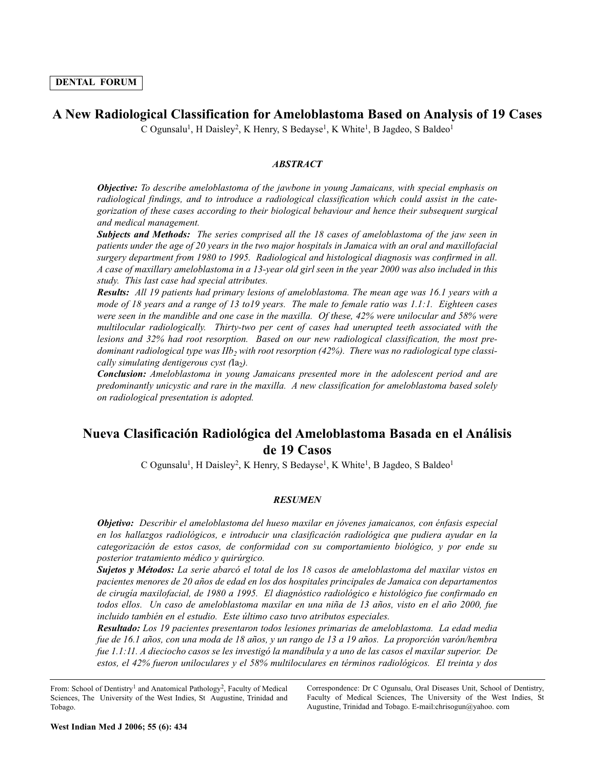# **A New Radiological Classification for Ameloblastoma Based on Analysis of 19 Cases**

C Ogunsalu<sup>1</sup>, H Daisley<sup>2</sup>, K Henry, S Bedayse<sup>1</sup>, K White<sup>1</sup>, B Jagdeo, S Baldeo<sup>1</sup>

# *ABSTRACT*

*Objective: To describe ameloblastoma of the jawbone in young Jamaicans, with special emphasis on radiological findings, and to introduce a radiological classification which could assist in the categorization of these cases according to their biological behaviour and hence their subsequent surgical and medical management.* 

*Subjects and Methods: The series comprised all the 18 cases of ameloblastoma of the jaw seen in patients under the age of 20 years in the two major hospitals in Jamaica with an oral and maxillofacial surgery department from 1980 to 1995. Radiological and histological diagnosis was confirmed in all. A case of maxillary ameloblastoma in a 13-year old girl seen in the year 2000 was also included in this study. This last case had special attributes.* 

*Results: All 19 patients had primary lesions of ameloblastoma. The mean age was 16.1 years with a mode of 18 years and a range of 13 to19 years. The male to female ratio was 1.1:1. Eighteen cases were seen in the mandible and one case in the maxilla. Of these, 42% were unilocular and 58% were multilocular radiologically. Thirty-two per cent of cases had unerupted teeth associated with the lesions and 32% had root resorption. Based on our new radiological classification, the most pre*dominant radiological type was IIb<sub>2</sub> with root resorption (42%). There was no radiological type classi*cally simulating dentigerous cyst (Ia<sub>2</sub>)*.

*Conclusion: Ameloblastoma in young Jamaicans presented more in the adolescent period and are predominantly unicystic and rare in the maxilla. A new classification for ameloblastoma based solely on radiological presentation is adopted.*

# **Nueva Clasificación Radiológica del Ameloblastoma Basada en el Análisis de 19 Casos**

C Ogunsalu<sup>1</sup>, H Daisley<sup>2</sup>, K Henry, S Bedayse<sup>1</sup>, K White<sup>1</sup>, B Jagdeo, S Baldeo<sup>1</sup>

# *RESUMEN*

*Objetivo: Describir el ameloblastoma del hueso maxilar en jóvenes jamaicanos, con énfasis especial en los hallazgos radiológicos, e introducir una clasificación radiológica que pudiera ayudar en la categorización de estos casos, de conformidad con su comportamiento biológico, y por ende su posterior tratamiento médico y quirúrgico.* 

*Sujetos y Métodos: La serie abarcó el total de los 18 casos de ameloblastoma del maxilar vistos en pacientes menores de 20 años de edad en los dos hospitales principales de Jamaica con departamentos de cirugía maxilofacial, de 1980 a 1995. El diagnóstico radiológico e histológico fue confirmado en todos ellos. Un caso de ameloblastoma maxilar en una niña de 13 años, visto en el año 2000, fue incluido también en el estudio. Este último caso tuvo atributos especiales.* 

*Resultado: Los 19 pacientes presentaron todos lesiones primarias de ameloblastoma. La edad media fue de 16.1 años, con una moda de 18 años, y un rango de 13 a 19 años. La proporción varón/hembra fue 1.1:11. A dieciocho casos se les investigó la mandíbula y a uno de las casos el maxilar superior. De estos, el 42% fueron uniloculares y el 58% multiloculares en términos radiológicos. El treinta y dos*

From: School of Dentistry<sup>1</sup> and Anatomical Pathology<sup>2</sup>, Faculty of Medical Sciences, The University of the West Indies, St Augustine, Trinidad and Tobago.

Correspondence: Dr C Ogunsalu, Oral Diseases Unit, School of Dentistry, Faculty of Medical Sciences, The University of the West Indies, St Augustine, Trinidad and Tobago. E-mail:chrisogun@yahoo. com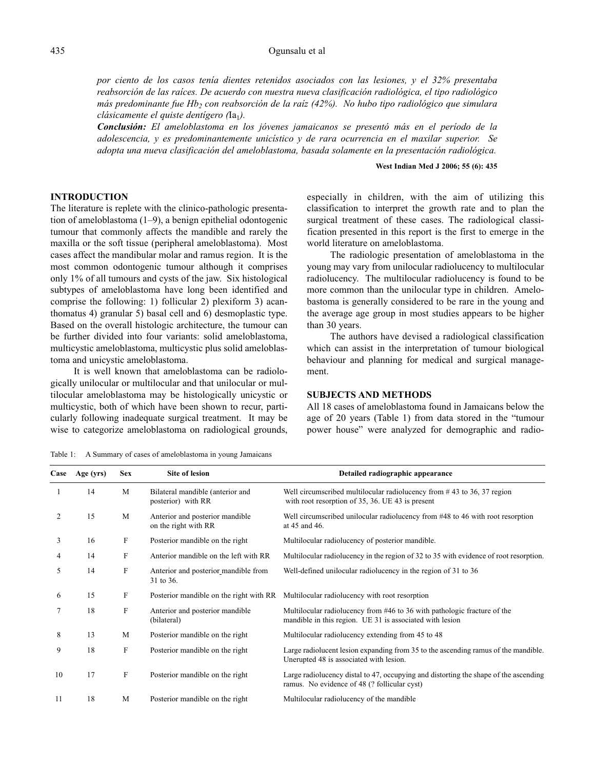### Ogunsalu et al

*por ciento de los casos tenía dientes retenidos asociados con las lesiones, y el 32% presentaba reabsorción de las raíces. De acuerdo con nuestra nueva clasificación radiológica, el tipo radiológico más predominante fue Hb2 con reabsorción de la raíz (42%). No hubo tipo radiológico que simulara clásicamente el quiste dentígero (Ia<sub>1</sub>).* 

*Conclusión: El ameloblastoma en los jóvenes jamaicanos se presentó más en el período de la adolescencia, y es predominantemente unicístico y de rara ocurrencia en el maxilar superior. Se adopta una nueva clasificación del ameloblastoma, basada solamente en la presentación radiológica.*

### **West Indian Med J 2006; 55 (6): 435**

# **INTRODUCTION**

The literature is replete with the clinico-pathologic presentation of ameloblastoma (1–9), a benign epithelial odontogenic tumour that commonly affects the mandible and rarely the maxilla or the soft tissue (peripheral ameloblastoma). Most cases affect the mandibular molar and ramus region. It is the most common odontogenic tumour although it comprises only 1% of all tumours and cysts of the jaw. Six histological subtypes of ameloblastoma have long been identified and comprise the following: 1) follicular 2) plexiform 3) acanthomatus 4) granular 5) basal cell and 6) desmoplastic type. Based on the overall histologic architecture, the tumour can be further divided into four variants: solid ameloblastoma, multicystic ameloblastoma, multicystic plus solid ameloblastoma and unicystic ameloblastoma.

It is well known that ameloblastoma can be radiologically unilocular or multilocular and that unilocular or multilocular ameloblastoma may be histologically unicystic or multicystic, both of which have been shown to recur, particularly following inadequate surgical treatment. It may be wise to categorize ameloblastoma on radiological grounds, especially in children, with the aim of utilizing this classification to interpret the growth rate and to plan the surgical treatment of these cases. The radiological classification presented in this report is the first to emerge in the world literature on ameloblastoma.

The radiologic presentation of ameloblastoma in the young may vary from unilocular radiolucency to multilocular radiolucency. The multilocular radiolucency is found to be more common than the unilocular type in children. Amelobastoma is generally considered to be rare in the young and the average age group in most studies appears to be higher than 30 years.

The authors have devised a radiological classification which can assist in the interpretation of tumour biological behaviour and planning for medical and surgical management.

# **SUBJECTS AND METHODS**

All 18 cases of ameloblastoma found in Jamaicans below the age of 20 years (Table 1) from data stored in the "tumour power house" were analyzed for demographic and radio-

Table 1: A Summary of cases of ameloblastoma in young Jamaicans

| Case | Age (yrs) | <b>Sex</b>  | <b>Site of lesion</b>                                   | Detailed radiographic appearance                                                                                                     |
|------|-----------|-------------|---------------------------------------------------------|--------------------------------------------------------------------------------------------------------------------------------------|
|      | 14        | M           | Bilateral mandible (anterior and<br>posterior) with RR  | Well circumscribed multilocular radiolucency from $\#$ 43 to 36, 37 region<br>with root resorption of 35, 36. UE 43 is present       |
| 2    | 15        | M           | Anterior and posterior mandible<br>on the right with RR | Well circumscribed unilocular radiolucency from #48 to 46 with root resorption<br>at 45 and 46.                                      |
| 3    | 16        | $\mathbf F$ | Posterior mandible on the right                         | Multilocular radiolucency of posterior mandible.                                                                                     |
| 4    | 14        | F           | Anterior mandible on the left with RR                   | Multilocular radiolucency in the region of 32 to 35 with evidence of root resorption.                                                |
| 5    | 14        | $\rm F$     | Anterior and posterior mandible from<br>31 to 36.       | Well-defined unilocular radiolucency in the region of 31 to 36                                                                       |
| 6    | 15        | F           | Posterior mandible on the right with RR                 | Multilocular radiolucency with root resorption                                                                                       |
|      | 18        | $\mathbf F$ | Anterior and posterior mandible<br>(bilateral)          | Multilocular radiolucency from #46 to 36 with pathologic fracture of the<br>mandible in this region. UE 31 is associated with lesion |
| 8    | 13        | M           | Posterior mandible on the right                         | Multilocular radiolucency extending from 45 to 48                                                                                    |
| 9    | 18        | $\mathbf F$ | Posterior mandible on the right                         | Large radiolucent lesion expanding from 35 to the ascending ramus of the mandible.<br>Unerupted 48 is associated with lesion.        |
| 10   | 17        | $\rm F$     | Posterior mandible on the right                         | Large radiolucency distal to 47, occupying and distorting the shape of the ascending<br>ramus. No evidence of 48 (? follicular cyst) |
| 11   | 18        | M           | Posterior mandible on the right                         | Multilocular radiolucency of the mandible                                                                                            |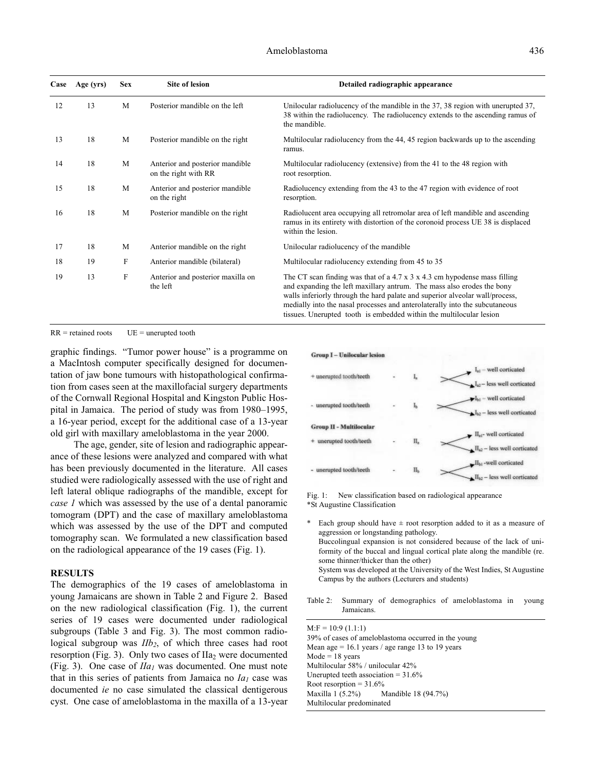| Case | Age (yrs) | <b>Sex</b> | <b>Site of lesion</b>                                   | Detailed radiographic appearance                                                                                                                                                                                                                                                                                                                                                                 |
|------|-----------|------------|---------------------------------------------------------|--------------------------------------------------------------------------------------------------------------------------------------------------------------------------------------------------------------------------------------------------------------------------------------------------------------------------------------------------------------------------------------------------|
| 12   | 13        | M          | Posterior mandible on the left                          | Unilocular radiolucency of the mandible in the 37, 38 region with unerupted 37,<br>38 within the radiolucency. The radiolucency extends to the ascending ramus of<br>the mandible.                                                                                                                                                                                                               |
| 13   | 18        | M          | Posterior mandible on the right                         | Multilocular radiolucency from the 44, 45 region backwards up to the ascending<br>ramus.                                                                                                                                                                                                                                                                                                         |
| 14   | 18        | M          | Anterior and posterior mandible<br>on the right with RR | Multilocular radiolucency (extensive) from the 41 to the 48 region with<br>root resorption.                                                                                                                                                                                                                                                                                                      |
| 15   | 18        | M          | Anterior and posterior mandible<br>on the right         | Radiolucency extending from the 43 to the 47 region with evidence of root<br>resorption.                                                                                                                                                                                                                                                                                                         |
| 16   | 18        | M          | Posterior mandible on the right                         | Radiolucent area occupying all retromolar area of left mandible and ascending<br>ramus in its entirety with distortion of the coronoid process UE 38 is displaced<br>within the lesion.                                                                                                                                                                                                          |
| 17   | 18        | M          | Anterior mandible on the right                          | Unilocular radiolucency of the mandible                                                                                                                                                                                                                                                                                                                                                          |
| 18   | 19        | F          | Anterior mandible (bilateral)                           | Multilocular radiolucency extending from 45 to 35                                                                                                                                                                                                                                                                                                                                                |
| 19   | 13        | $\rm F$    | Anterior and posterior maxilla on<br>the left           | The CT scan finding was that of a 4.7 x $3 \times 4.3$ cm hypodense mass filling<br>and expanding the left maxillary antrum. The mass also erodes the bony<br>walls inferiorly through the hard palate and superior alveolar wall/process,<br>medially into the nasal processes and anterolaterally into the subcutaneous<br>tissues. Unerupted tooth is embedded within the multilocular lesion |

 $RR = retained roots$   $UE = unerupted tooth$ 

graphic findings. "Tumor power house" is a programme on a MacIntosh computer specifically designed for documentation of jaw bone tumours with histopathological confirmation from cases seen at the maxillofacial surgery departments of the Cornwall Regional Hospital and Kingston Public Hospital in Jamaica. The period of study was from 1980–1995, a 16-year period, except for the additional case of a 13-year old girl with maxillary ameloblastoma in the year 2000.

The age, gender, site of lesion and radiographic appearance of these lesions were analyzed and compared with what has been previously documented in the literature. All cases studied were radiologically assessed with the use of right and left lateral oblique radiographs of the mandible, except for *case 1* which was assessed by the use of a dental panoramic tomogram (DPT) and the case of maxillary ameloblastoma which was assessed by the use of the DPT and computed tomography scan. We formulated a new classification based on the radiological appearance of the 19 cases (Fig. 1).

### **RESULTS**

The demographics of the 19 cases of ameloblastoma in young Jamaicans are shown in Table 2 and Figure 2. Based on the new radiological classification (Fig. 1), the current series of 19 cases were documented under radiological subgroups (Table 3 and Fig. 3). The most common radiological subgroup was *IIb2*, of which three cases had root resorption (Fig. 3). Only two cases of  $IIa<sub>2</sub>$  were documented (Fig. 3). One case of *IIa1* was documented. One must note that in this series of patients from Jamaica no  $Ia<sub>1</sub>$  case was documented *ie* no case simulated the classical dentigerous cyst. One case of ameloblastoma in the maxilla of a 13-year



Fig. 1: New classification based on radiological appearance \*St Augustine Classification

- Each group should have  $\pm$  root resorption added to it as a measure of aggression or longstanding pathology. Buccolingual expansion is not considered because of the lack of uniformity of the buccal and lingual cortical plate along the mandible (re. some thinner/thicker than the other) System was developed at the University of the West Indies, St Augustine Campus by the authors (Lecturers and students)
- Table 2: Summary of demographics of ameloblastoma in young Jamaicans.

 $M: F = 10:9(1.1:1)$ 39% of cases of ameloblastoma occurred in the young Mean age  $= 16.1$  years / age range 13 to 19 years  $Mode = 18$  years Multilocular 58% / unilocular 42% Unerupted teeth association = 31.6% Root resorption =  $31.6\%$ Maxilla 1 (5.2%) Mandible 18 (94.7%) Multilocular predominated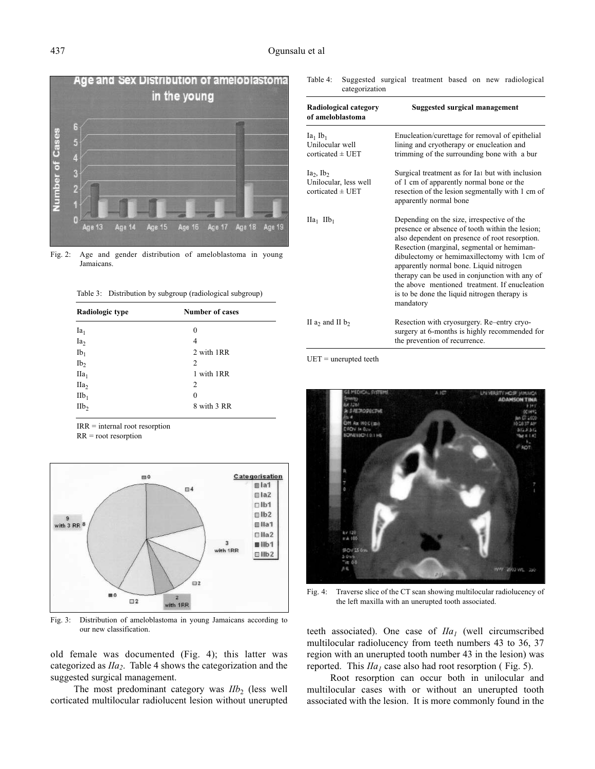

Fig. 2: Age and gender distribution of ameloblastoma in young Jamaicans.

Table 3: Distribution by subgroup (radiological subgroup)

| Radiologic type  | <b>Number of cases</b> |  |  |  |
|------------------|------------------------|--|--|--|
| $Ia_1$           | 0                      |  |  |  |
| Ia <sub>2</sub>  | 4                      |  |  |  |
| $Ib_1$           | 2 with 1RR             |  |  |  |
| Ib <sub>2</sub>  | 2                      |  |  |  |
| $IIa_1$          | 1 with 1RR             |  |  |  |
| IIa <sub>2</sub> | 2                      |  |  |  |
| $IIb_1$          | 0                      |  |  |  |
| IIb <sub>2</sub> | 8 with 3 RR            |  |  |  |

IRR = internal root resorption

RR = root resorption



Fig. 3: Distribution of ameloblastoma in young Jamaicans according to our new classification.

old female was documented (Fig. 4); this latter was categorized as *IIa2*. Table 4 shows the categorization and the suggested surgical management.

The most predominant category was *IIb*<sub>2</sub> (less well corticated multilocular radiolucent lesion without unerupted

| Table 4:                                                         | Suggested surgical treatment based on new radiological<br>categorization |                                                                                                                                                                                                                                                                                                                                                                                                                                                         |                               |  |  |  |  |
|------------------------------------------------------------------|--------------------------------------------------------------------------|---------------------------------------------------------------------------------------------------------------------------------------------------------------------------------------------------------------------------------------------------------------------------------------------------------------------------------------------------------------------------------------------------------------------------------------------------------|-------------------------------|--|--|--|--|
| of ameloblastoma                                                 | Radiological category                                                    |                                                                                                                                                                                                                                                                                                                                                                                                                                                         | Suggested surgical management |  |  |  |  |
| $Ia_1$ $Ib_1$<br>Unilocular well<br>corticated $\pm$ UET         |                                                                          | Enucleation/curettage for removal of epithelial<br>lining and cryotherapy or enucleation and<br>trimming of the surrounding bone with a bur                                                                                                                                                                                                                                                                                                             |                               |  |  |  |  |
| $Ia_2$ , $Ib_2$<br>Unilocular, less well<br>corticated $\pm$ UET |                                                                          | Surgical treatment as for Ia <sub>1</sub> but with inclusion<br>of 1 cm of apparently normal bone or the<br>resection of the lesion segmentally with 1 cm of<br>apparently normal bone                                                                                                                                                                                                                                                                  |                               |  |  |  |  |
| $\text{IIa}_1$ $\text{IIb}_1$                                    |                                                                          | Depending on the size, irrespective of the<br>presence or absence of tooth within the lesion;<br>also dependent on presence of root resorption.<br>Resection (marginal, segmental or hemiman-<br>dibulectomy or hemimaxillectomy with 1cm of<br>apparently normal bone. Liquid nitrogen<br>therapy can be used in conjunction with any of<br>the above mentioned treatment. If enucleation<br>is to be done the liquid nitrogen therapy is<br>mandatory |                               |  |  |  |  |
| II a <sub>2</sub> and II b <sub>2</sub>                          |                                                                          | Resection with cryosurgery. Re-entry cryo-<br>surgery at 6-months is highly recommended for<br>the prevention of recurrence.                                                                                                                                                                                                                                                                                                                            |                               |  |  |  |  |

 $UET$  = unerupted teeth



Fig. 4: Traverse slice of the CT scan showing multilocular radiolucency of the left maxilla with an unerupted tooth associated.

teeth associated). One case of  $I/a<sub>1</sub>$  (well circumscribed multilocular radiolucency from teeth numbers 43 to 36, 37 region with an unerupted tooth number 43 in the lesion) was reported. This  $I/a<sub>1</sub>$  case also had root resorption (Fig. 5).

Root resorption can occur both in unilocular and multilocular cases with or without an unerupted tooth associated with the lesion. It is more commonly found in the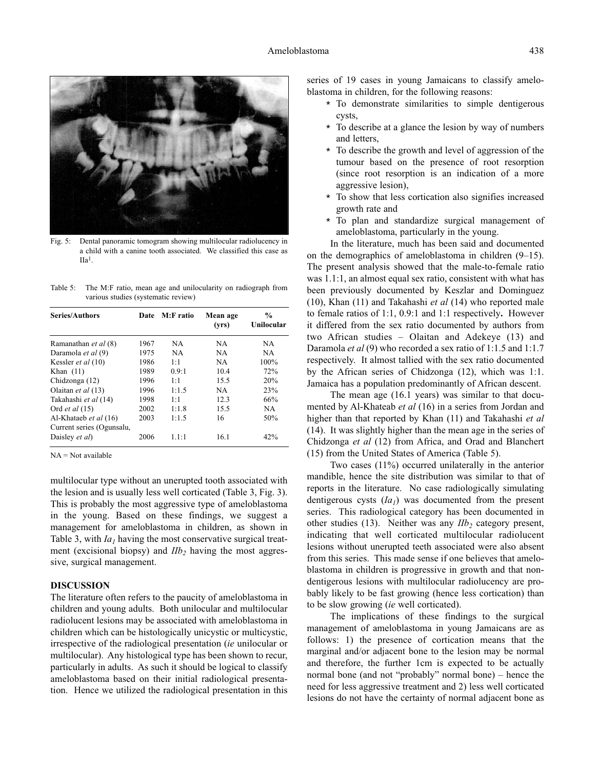

Fig. 5: Dental panoramic tomogram showing multilocular radiolucency in a child with a canine tooth associated. We classified this case as IIa1.

Table 5: The M:F ratio, mean age and unilocularity on radiograph from various studies (systematic review)

| <b>Series/Authors</b>     | Date | M:F ratio | Mean age<br>(vrs) | $\frac{0}{0}$<br>Unilocular |
|---------------------------|------|-----------|-------------------|-----------------------------|
| Ramanathan et al (8)      | 1967 | NA        | NA.               | NA.                         |
| Daramola et al (9)        | 1975 | NA        | NA                | NA.                         |
| Kessler et al (10)        | 1986 | 1:1       | <b>NA</b>         | 100%                        |
| Khan $(11)$               | 1989 | 0.9:1     | 10.4              | 72%                         |
| Chidzonga (12)            | 1996 | 1:1       | 15.5              | 20%                         |
| Olaitan et al (13)        | 1996 | 1:1.5     | <b>NA</b>         | 23%                         |
| Takahashi et al (14)      | 1998 | 1:1       | 12.3              | 66%                         |
| Ord <i>et al</i> (15)     | 2002 | 1:1.8     | 15.5              | NA.                         |
| Al-Khataeb et al (16)     | 2003 | 1:1.5     | 16                | 50%                         |
| Current series (Ogunsalu, |      |           |                   |                             |
| Daisley et al)            | 2006 | 1.1:1     | 16.1              | 42%                         |

 $NA = Not available$ 

multilocular type without an unerupted tooth associated with the lesion and is usually less well corticated (Table 3, Fig. 3). This is probably the most aggressive type of ameloblastoma in the young. Based on these findings, we suggest a management for ameloblastoma in children, as shown in Table 3, with  $Ia<sub>1</sub>$  having the most conservative surgical treatment (excisional biopsy) and *IIb<sub>2</sub>* having the most aggressive, surgical management.

### **DISCUSSION**

The literature often refers to the paucity of ameloblastoma in children and young adults. Both unilocular and multilocular radiolucent lesions may be associated with ameloblastoma in children which can be histologically unicystic or multicystic, irrespective of the radiological presentation (*ie* unilocular or multilocular). Any histological type has been shown to recur, particularly in adults. As such it should be logical to classify ameloblastoma based on their initial radiological presentation. Hence we utilized the radiological presentation in this series of 19 cases in young Jamaicans to classify ameloblastoma in children, for the following reasons:

- \* To demonstrate similarities to simple dentigerous cysts,
- \* To describe at a glance the lesion by way of numbers and letters,
- \* To describe the growth and level of aggression of the tumour based on the presence of root resorption (since root resorption is an indication of a more aggressive lesion),
- To show that less cortication also signifies increased growth rate and
- \* To plan and standardize surgical management of ameloblastoma, particularly in the young.

In the literature, much has been said and documented on the demographics of ameloblastoma in children (9–15). The present analysis showed that the male-to-female ratio was 1.1:1, an almost equal sex ratio, consistent with what has been previously documented by Keszlar and Dominguez (10), Khan (11) and Takahashi *et al* (14) who reported male to female ratios of 1:1, 0.9:1 and 1:1 respectively**.** However it differed from the sex ratio documented by authors from two African studies – Olaitan and Adekeye (13) and Daramola *et al* (9) who recorded a sex ratio of 1:1.5 and 1:1.7 respectively. It almost tallied with the sex ratio documented by the African series of Chidzonga (12), which was 1:1. Jamaica has a population predominantly of African descent.

The mean age (16.1 years) was similar to that documented by Al-Khateab *et al* (16) in a series from Jordan and higher than that reported by Khan (11) and Takahashi *et al* (14). It was slightly higher than the mean age in the series of Chidzonga *et al* (12) from Africa, and Orad and Blanchert (15) from the United States of America (Table 5).

Two cases (11%) occurred unilaterally in the anterior mandible, hence the site distribution was similar to that of reports in the literature. No case radiologically simulating dentigerous cysts  $(Ia<sub>1</sub>)$  was documented from the present series. This radiological category has been documented in other studies (13). Neither was any  $IIb<sub>2</sub>$  category present, indicating that well corticated multilocular radiolucent lesions without unerupted teeth associated were also absent from this series. This made sense if one believes that ameloblastoma in children is progressive in growth and that nondentigerous lesions with multilocular radiolucency are probably likely to be fast growing (hence less cortication) than to be slow growing (*ie* well corticated).

The implications of these findings to the surgical management of ameloblastoma in young Jamaicans are as follows: 1) the presence of cortication means that the marginal and/or adjacent bone to the lesion may be normal and therefore, the further 1cm is expected to be actually normal bone (and not "probably" normal bone) – hence the need for less aggressive treatment and 2) less well corticated lesions do not have the certainty of normal adjacent bone as